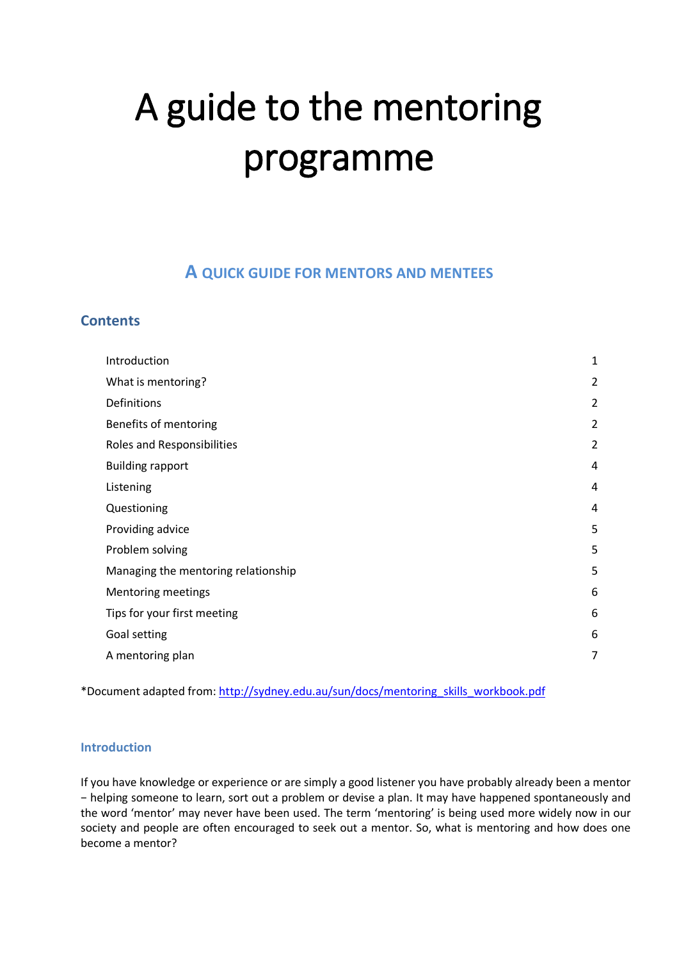# A guide to the mentoring programme

# **A QUICK GUIDE FOR MENTORS AND MENTEES**

# <span id="page-0-0"></span>**Contents**

| Introduction                        | $\mathbf 1$    |
|-------------------------------------|----------------|
| What is mentoring?                  | $\overline{2}$ |
| Definitions                         | $\overline{2}$ |
| Benefits of mentoring               | $\overline{2}$ |
| Roles and Responsibilities          | $\overline{2}$ |
| <b>Building rapport</b>             | 4              |
| Listening                           | 4              |
| Questioning                         | 4              |
| Providing advice                    | 5              |
| Problem solving                     | 5              |
| Managing the mentoring relationship | 5              |
| <b>Mentoring meetings</b>           | 6              |
| Tips for your first meeting         | 6              |
| Goal setting                        | 6              |
| A mentoring plan                    | 7              |
|                                     |                |

\*Document adapted from: [http://sydney.edu.au/sun/docs/mentoring\\_skills\\_workbook.pdf](http://sydney.edu.au/sun/docs/mentoring_skills_workbook.pdf)

#### **Introduction**

If you have knowledge or experience or are simply a good listener you have probably already been a mentor − helping someone to learn, sort out a problem or devise a plan. It may have happened spontaneously and the word 'mentor' may never have been used. The term 'mentoring' is being used more widely now in our society and people are often encouraged to seek out a mentor. So, what is mentoring and how does one become a mentor?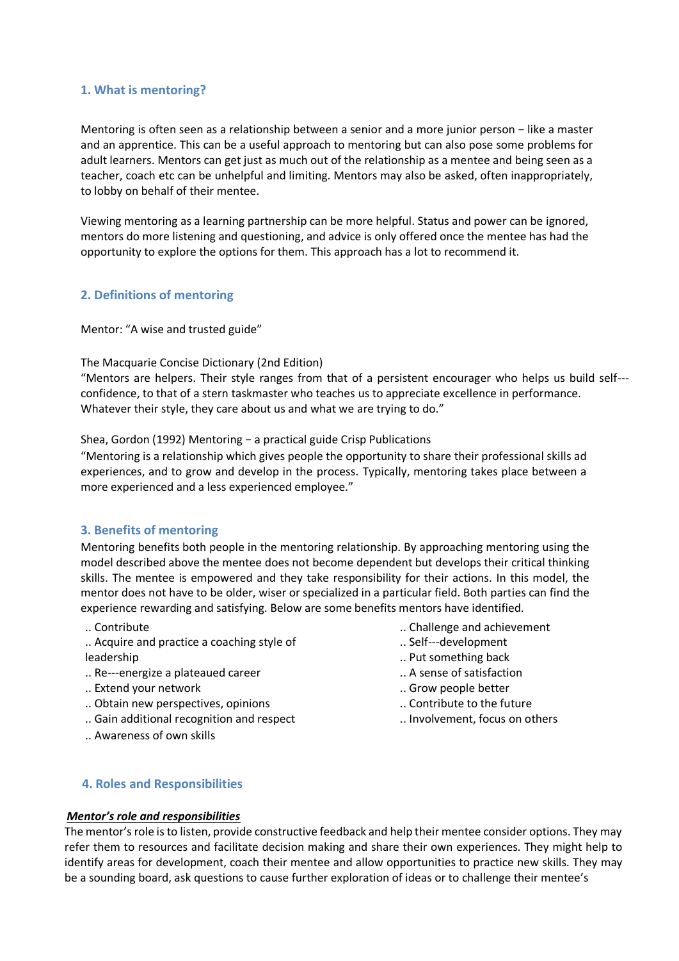#### **1. What is mentoring?**

Mentoring is often seen as a relationship between a senior and a more junior person − like a master and an apprentice. This can be a useful approach to mentoring but can also pose some problems for adult learners. Mentors can get just as much out of the relationship as a mentee and being seen as a teacher, coach etc can be unhelpful and limiting. Mentors may also be asked, often inappropriately, to lobby on behalf of their mentee.

Viewing mentoring as a learning partnership can be more helpful. Status and power can be ignored, mentors do more listening and questioning, and advice is only offered once the mentee has had the opportunity to explore the options for them. This approach has a lot to recommend it.

### **2. Definitions of mentoring**

Mentor: "A wise and trusted guide"

#### The Macquarie Concise Dictionary (2nd Edition)

"Mentors are helpers. Their style ranges from that of a persistent encourager who helps us build self confidence, to that of a stern taskmaster who teaches us to appreciate excellence in performance. Whatever their style, they care about us and what we are trying to do."

#### Shea, Gordon (1992) Mentoring − a practical guide Crisp Publications

"Mentoring is a relationship which gives people the opportunity to share their professional skills ad experiences, and to grow and develop in the process. Typically, mentoring takes place between a more experienced and a less experienced employee."

#### **3. Benefits of mentoring**

Mentoring benefits both people in the mentoring relationship. By approaching mentoring using the model described above the mentee does not become dependent but develops their critical thinking skills. The mentee is empowered and they take responsibility for their actions. In this model, the mentor does not have to be older, wiser or specialized in a particular field. Both parties can find the experience rewarding and satisfying. Below are some benefits mentors have identified.

- .. Contribute
- .. Acquire and practice a coaching style of leadership
- .. Re---energize a plateaued career
- .. Extend your network
- .. Obtain new perspectives, opinions
- .. Gain additional recognition and respect
- .. Awareness of own skills
- .. Challenge and achievement
- .. Self---development
- .. Put something back
- .. A sense of satisfaction
- .. Grow people better
- .. Contribute to the future
- .. Involvement, focus on others

#### **4. Roles and Responsibilities**

#### *Mentor's role and responsibilities*

The mentor's role is to listen, provide constructive feedback and help their mentee consider options. They may refer them to resources and facilitate decision making and share their own experiences. They might help to identify areas for development, coach their mentee and allow opportunities to practice new skills. They may be a sounding board, ask questions to cause further exploration of ideas or to challenge their mentee's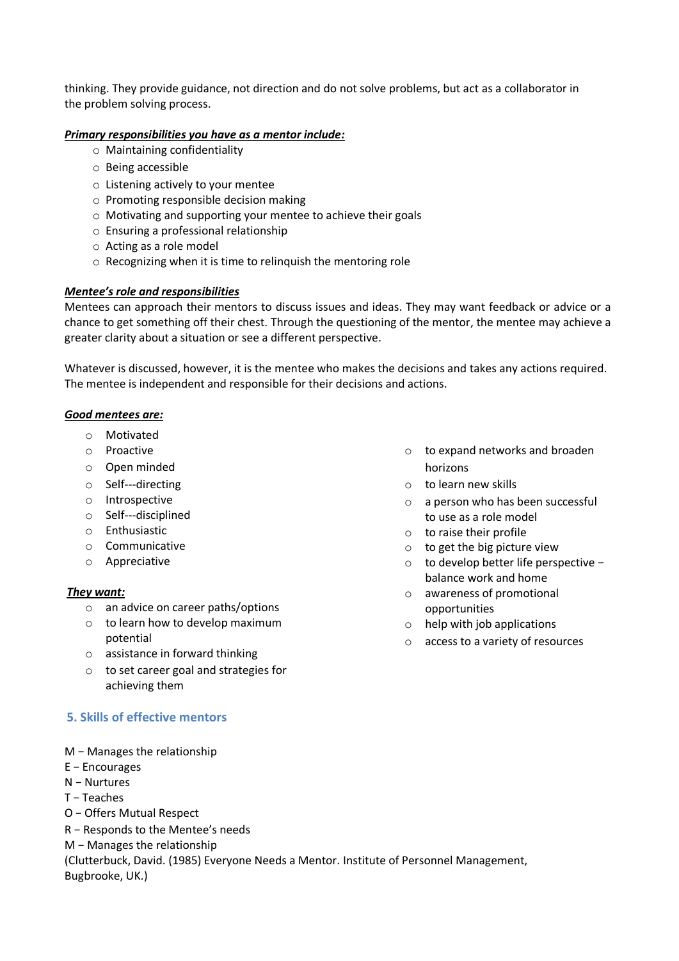thinking. They provide guidance, not direction and do not solve problems, but act as a collaborator in the problem solving process.

#### *Primary responsibilities you have as a mentor include:*

- o Maintaining confidentiality
- o Being accessible
- o Listening actively to your mentee
- o Promoting responsible decision making
- o Motivating and supporting your mentee to achieve their goals
- o Ensuring a professional relationship
- o Acting as a role model
- o Recognizing when it is time to relinquish the mentoring role

### *Mentee's role and responsibilities*

Mentees can approach their mentors to discuss issues and ideas. They may want feedback or advice or a chance to get something off their chest. Through the questioning of the mentor, the mentee may achieve a greater clarity about a situation or see a different perspective.

Whatever is discussed, however, it is the mentee who makes the decisions and takes any actions required. The mentee is independent and responsible for their decisions and actions.

#### *Good mentees are:*

- o Motivated
- o Proactive
- o Open minded
- o Self---directing
- o Introspective
- $\circ$  Self---disciplined
- o Enthusiastic
- o Communicative
- o Appreciative

#### *They want:*

- o an advice on career paths/options
- o to learn how to develop maximum potential
- o assistance in forward thinking
- o to set career goal and strategies for achieving them

# **5. Skills of effective mentors**

- M − Manages the relationship
- E − Encourages
- N − Nurtures
- T − Teaches
- O − Offers Mutual Respect
- R − Responds to the Mentee's needs
- M − Manages the relationship

(Clutterbuck, David. (1985) Everyone Needs a Mentor. Institute of Personnel Management, Bugbrooke, UK.)

- o to expand networks and broaden horizons
- o to learn new skills
- o a person who has been successful to use as a role model
- o to raise their profile
- o to get the big picture view
- o to develop better life perspective − balance work and home
- o awareness of promotional opportunities
- o help with job applications
- o access to a variety of resources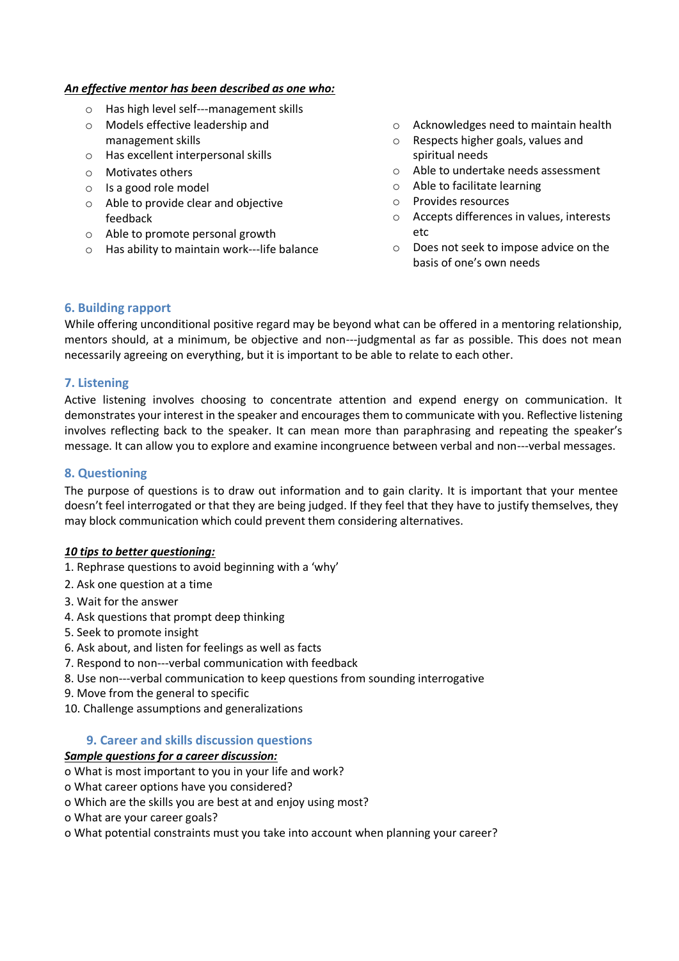#### *An effective mentor has been described as one who:*

- o Has high level self---management skills
- o Models effective leadership and management skills
- o Has excellent interpersonal skills
- o Motivates others
- o Is a good role model
- o Able to provide clear and objective feedback
- o Able to promote personal growth
- $\circ$  Has ability to maintain work---life balance
- o Acknowledges need to maintain health
- o Respects higher goals, values and spiritual needs
- o Able to undertake needs assessment
- o Able to facilitate learning
- o Provides resources
- o Accepts differences in values, interests etc
- o Does not seek to impose advice on the basis of one's own needs

### **6. Building rapport**

While offering unconditional positive regard may be beyond what can be offered in a mentoring relationship, mentors should, at a minimum, be objective and non---judgmental as far as possible. This does not mean necessarily agreeing on everything, but it is important to be able to relate to each other.

# **7. Listening**

Active listening involves choosing to concentrate attention and expend energy on communication. It demonstrates your interest in the speaker and encourages them to communicate with you. Reflective listening involves reflecting back to the speaker. It can mean more than paraphrasing and repeating the speaker's message. It can allow you to explore and examine incongruence between verbal and non---verbal messages.

## **8. Questioning**

The purpose of questions is to draw out information and to gain clarity. It is important that your mentee doesn't feel interrogated or that they are being judged. If they feel that they have to justify themselves, they may block communication which could prevent them considering alternatives.

#### *10 tips to better questioning:*

- 1. Rephrase questions to avoid beginning with a 'why'
- 2. Ask one question at a time
- 3. Wait for the answer
- 4. Ask questions that prompt deep thinking
- 5. Seek to promote insight
- 6. Ask about, and listen for feelings as well as facts
- 7. Respond to non---verbal communication with feedback
- 8. Use non---verbal communication to keep questions from sounding interrogative
- 9. Move from the general to specific
- 10. Challenge assumptions and generalizations

# **9. Career and skills discussion questions**

#### *Sample questions for a career discussion:*

- o What is most important to you in your life and work?
- o What career options have you considered?
- o Which are the skills you are best at and enjoy using most?
- o What are your career goals?
- o What potential constraints must you take into account when planning your career?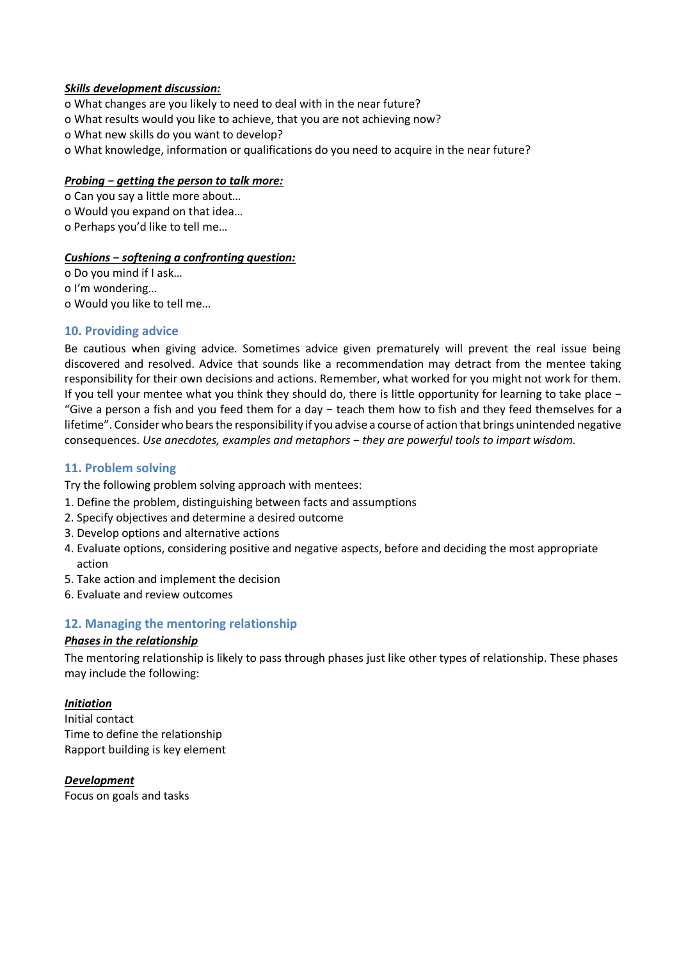#### *Skills development discussion:*

- o What changes are you likely to need to deal with in the near future?
- o What results would you like to achieve, that you are not achieving now?
- o What new skills do you want to develop?
- o What knowledge, information or qualifications do you need to acquire in the near future?

### *Probing − getting the person to talk more:*

o Can you say a little more about… o Would you expand on that idea… o Perhaps you'd like to tell me…

### *Cushions − softening a confronting question:*

o Do you mind if I ask… o I'm wondering… o Would you like to tell me…

# **10. Providing advice**

Be cautious when giving advice. Sometimes advice given prematurely will prevent the real issue being discovered and resolved. Advice that sounds like a recommendation may detract from the mentee taking responsibility for their own decisions and actions. Remember, what worked for you might not work for them. If you tell your mentee what you think they should do, there is little opportunity for learning to take place − "Give a person a fish and you feed them for a day − teach them how to fish and they feed themselves for a lifetime". Consider who bears the responsibility if you advise a course of action that brings unintended negative consequences. *Use anecdotes, examples and metaphors − they are powerful tools to impart wisdom.*

# **11. Problem solving**

Try the following problem solving approach with mentees:

- 1. Define the problem, distinguishing between facts and assumptions
- 2. Specify objectives and determine a desired outcome
- 3. Develop options and alternative actions
- 4. Evaluate options, considering positive and negative aspects, before and deciding the most appropriate action
- 5. Take action and implement the decision
- 6. Evaluate and review outcomes

# **12. Managing the mentoring relationship**

#### *Phases in the relationship*

The mentoring relationship is likely to pass through phases just like other types of relationship. These phases may include the following:

# *Initiation*

Initial contact Time to define the relationship Rapport building is key element

#### *Development*

Focus on goals and tasks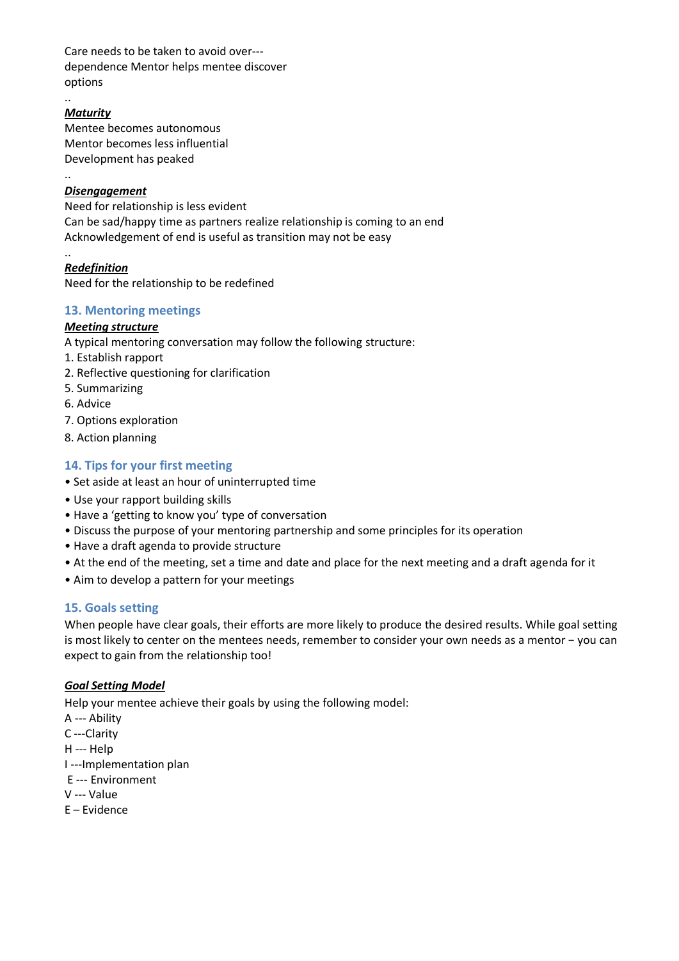Care needs to be taken to avoid over dependence Mentor helps mentee discover options

# *Maturity*

..

..

..

Mentee becomes autonomous Mentor becomes less influential Development has peaked

# *Disengagement*

Need for relationship is less evident Can be sad/happy time as partners realize relationship is coming to an end Acknowledgement of end is useful as transition may not be easy

#### *Redefinition* Need for the relationship to be redefined

## **13. Mentoring meetings**

# *Meeting structure*

A typical mentoring conversation may follow the following structure:

- 1. Establish rapport
- 2. Reflective questioning for clarification
- 5. Summarizing
- 6. Advice
- 7. Options exploration
- 8. Action planning

# **14. Tips for your first meeting**

- Set aside at least an hour of uninterrupted time
- Use your rapport building skills
- Have a 'getting to know you' type of conversation
- Discuss the purpose of your mentoring partnership and some principles for its operation
- Have a draft agenda to provide structure
- At the end of the meeting, set a time and date and place for the next meeting and a draft agenda for it
- Aim to develop a pattern for your meetings

# **15. Goals setting**

When people have clear goals, their efforts are more likely to produce the desired results. While goal setting is most likely to center on the mentees needs, remember to consider your own needs as a mentor − you can expect to gain from the relationship too!

# *Goal Setting Model*

Help your mentee achieve their goals by using the following model:

- A --- Ability
- C---Clarity
- H --- Help
- I ---Implementation plan
- E --- Environment
- V --- Value
- E Evidence